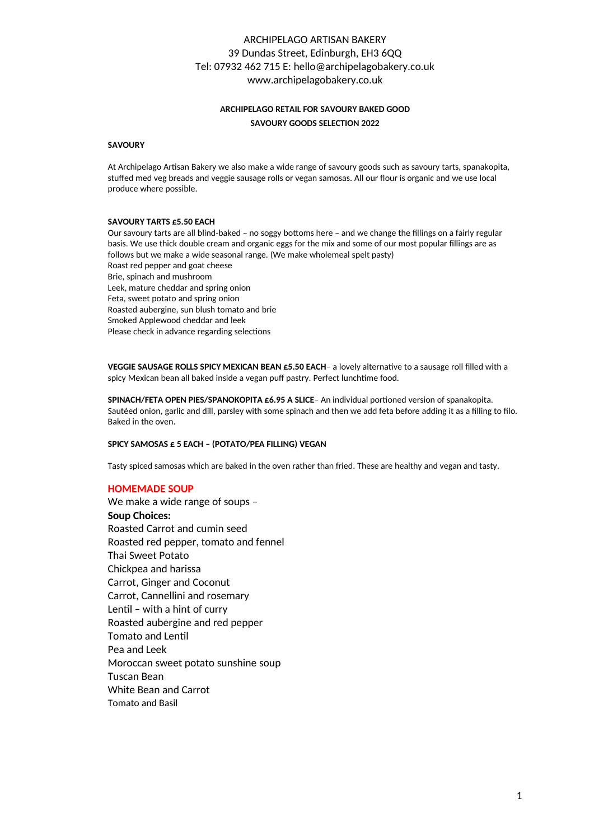## ARCHIPELAGO ARTISAN BAKERY 39 Dundas Street, Edinburgh, EH3 6QQ Tel: 07932 462 715 E: hello@archipelagobakery.co.uk www.archipelagobakery.co.uk

### **ARCHIPELAGO RETAIL FOR SAVOURY BAKED GOOD SAVOURY GOODS SELECTION 2022**

#### **SAVOURY**

At Archipelago Artisan Bakery we also make a wide range of savoury goods such as savoury tarts, spanakopita, stuffed med veg breads and veggie sausage rolls or vegan samosas. All our flour is organic and we use local produce where possible.

#### **SAVOURY TARTS £5.50 EACH**

Our savoury tarts are all blind-baked – no soggy bottoms here – and we change the fillings on a fairly regular basis. We use thick double cream and organic eggs for the mix and some of our most popular fillings are as follows but we make a wide seasonal range. (We make wholemeal spelt pasty) Roast red pepper and goat cheese Brie, spinach and mushroom Leek, mature cheddar and spring onion Feta, sweet potato and spring onion Roasted aubergine, sun blush tomato and brie Smoked Applewood cheddar and leek Please check in advance regarding selections

**VEGGIE SAUSAGE ROLLS SPICY MEXICAN BEAN £5.50 EACH-** a lovely alternative to a sausage roll filled with a spicy Mexican bean all baked inside a vegan puff pastry. Perfect lunchtime food.

**SPINACH/FETA OPEN PIES/SPANOKOPITA £6.95 A SLICE**- An individual portioned version of spanakopita. Sautéed onion, garlic and dill, parsley with some spinach and then we add feta before adding it as a filling to filo. Baked in the oven.

### **SPICY SAMOSAS £ 5 EACH – (POTATO/PEA FILLING) VEGAN**

Tasty spiced samosas which are baked in the oven rather than fried. These are healthy and vegan and tasty.

#### **HOMEMADE SOUP**

We make a wide range of soups – **Soup Choices:** Roasted Carrot and cumin seed Roasted red pepper, tomato and fennel Thai Sweet Potato Chickpea and harissa Carrot, Ginger and Coconut Carrot, Cannellini and rosemary Lentil - with a hint of curry Roasted aubergine and red pepper Tomato and Lentil Pea and Leek Moroccan sweet potato sunshine soup Tuscan Bean White Bean and Carrot Tomato and Basil